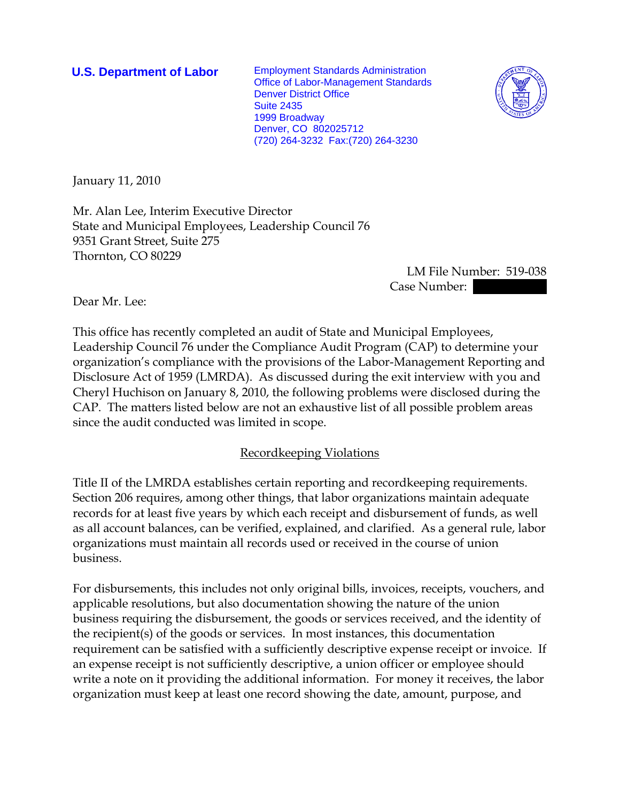**U.S. Department of Labor** Employment Standards Administration Office of Labor-Management Standards Denver District Office Suite 2435 1999 Broadway Denver, CO 802025712 (720) 264-3232 Fax:(720) 264-3230



January 11, 2010

Mr. Alan Lee, Interim Executive Director State and Municipal Employees, Leadership Council 76 9351 Grant Street, Suite 275 Thornton, CO 80229

 LM File Number: 519-038 Case Number: |

Dear Mr. Lee:

This office has recently completed an audit of State and Municipal Employees, Leadership Council 76 under the Compliance Audit Program (CAP) to determine your organization's compliance with the provisions of the Labor-Management Reporting and Disclosure Act of 1959 (LMRDA). As discussed during the exit interview with you and Cheryl Huchison on January 8, 2010, the following problems were disclosed during the CAP. The matters listed below are not an exhaustive list of all possible problem areas since the audit conducted was limited in scope.

# Recordkeeping Violations

Title II of the LMRDA establishes certain reporting and recordkeeping requirements. Section 206 requires, among other things, that labor organizations maintain adequate records for at least five years by which each receipt and disbursement of funds, as well as all account balances, can be verified, explained, and clarified. As a general rule, labor organizations must maintain all records used or received in the course of union business.

For disbursements, this includes not only original bills, invoices, receipts, vouchers, and applicable resolutions, but also documentation showing the nature of the union business requiring the disbursement, the goods or services received, and the identity of the recipient(s) of the goods or services. In most instances, this documentation requirement can be satisfied with a sufficiently descriptive expense receipt or invoice. If an expense receipt is not sufficiently descriptive, a union officer or employee should write a note on it providing the additional information. For money it receives, the labor organization must keep at least one record showing the date, amount, purpose, and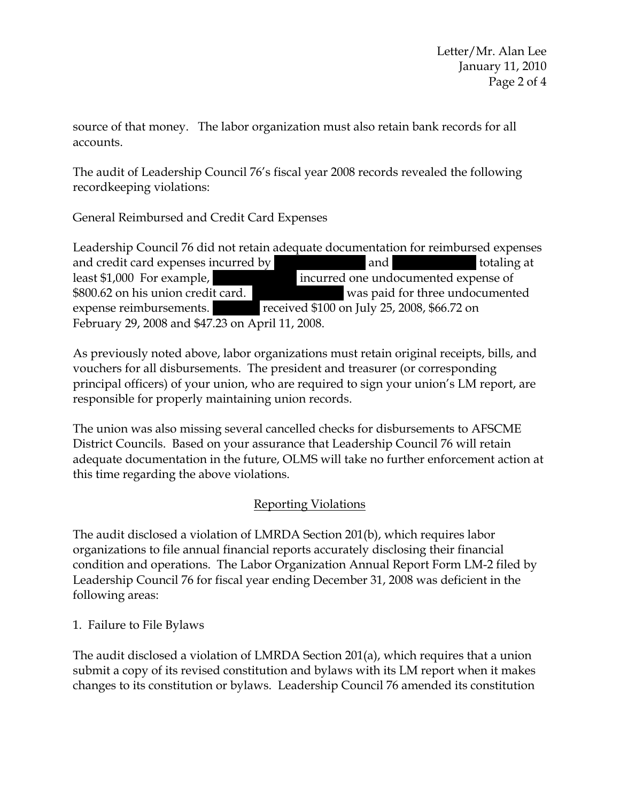source of that money. The labor organization must also retain bank records for all accounts.

The audit of Leadership Council 76's fiscal year 2008 records revealed the following recordkeeping violations:

General Reimbursed and Credit Card Expenses

Leadership Council 76 did not retain adequate documentation for reimbursed expenses and credit card expenses incurred by  $||$  and  $||$  and  $||$  totaling at least \$1,000 For example,  $|$  incurred one undocumented expense of \$800.62 on his union credit card. Was paid for three undocumented expense reimbursements. The received \$100 on July 25, 2008, \$66.72 on February 29, 2008 and \$47.23 on April 11, 2008.

As previously noted above, labor organizations must retain original receipts, bills, and vouchers for all disbursements. The president and treasurer (or corresponding principal officers) of your union, who are required to sign your union's LM report, are responsible for properly maintaining union records.

The union was also missing several cancelled checks for disbursements to AFSCME District Councils. Based on your assurance that Leadership Council 76 will retain adequate documentation in the future, OLMS will take no further enforcement action at this time regarding the above violations.

# Reporting Violations

The audit disclosed a violation of LMRDA Section 201(b), which requires labor organizations to file annual financial reports accurately disclosing their financial condition and operations. The Labor Organization Annual Report Form LM-2 filed by Leadership Council 76 for fiscal year ending December 31, 2008 was deficient in the following areas:

1. Failure to File Bylaws

The audit disclosed a violation of LMRDA Section 201(a), which requires that a union submit a copy of its revised constitution and bylaws with its LM report when it makes changes to its constitution or bylaws. Leadership Council 76 amended its constitution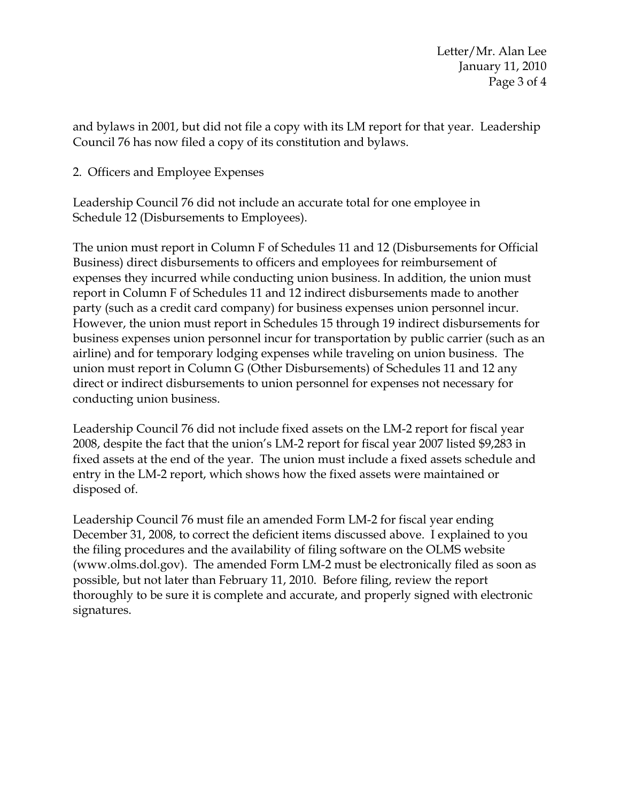and bylaws in 2001, but did not file a copy with its LM report for that year. Leadership Council 76 has now filed a copy of its constitution and bylaws.

# 2. Officers and Employee Expenses

Leadership Council 76 did not include an accurate total for one employee in Schedule 12 (Disbursements to Employees).

The union must report in Column F of Schedules 11 and 12 (Disbursements for Official Business) direct disbursements to officers and employees for reimbursement of expenses they incurred while conducting union business. In addition, the union must report in Column F of Schedules 11 and 12 indirect disbursements made to another party (such as a credit card company) for business expenses union personnel incur. However, the union must report in Schedules 15 through 19 indirect disbursements for business expenses union personnel incur for transportation by public carrier (such as an airline) and for temporary lodging expenses while traveling on union business. The union must report in Column G (Other Disbursements) of Schedules 11 and 12 any direct or indirect disbursements to union personnel for expenses not necessary for conducting union business.

Leadership Council 76 did not include fixed assets on the LM-2 report for fiscal year 2008, despite the fact that the union's LM-2 report for fiscal year 2007 listed \$9,283 in fixed assets at the end of the year. The union must include a fixed assets schedule and entry in the LM-2 report, which shows how the fixed assets were maintained or disposed of.

Leadership Council 76 must file an amended Form LM-2 for fiscal year ending December 31, 2008, to correct the deficient items discussed above. I explained to you the filing procedures and the availability of filing software on the OLMS website (www.olms.dol.gov). The amended Form LM-2 must be electronically filed as soon as possible, but not later than February 11, 2010. Before filing, review the report thoroughly to be sure it is complete and accurate, and properly signed with electronic signatures.